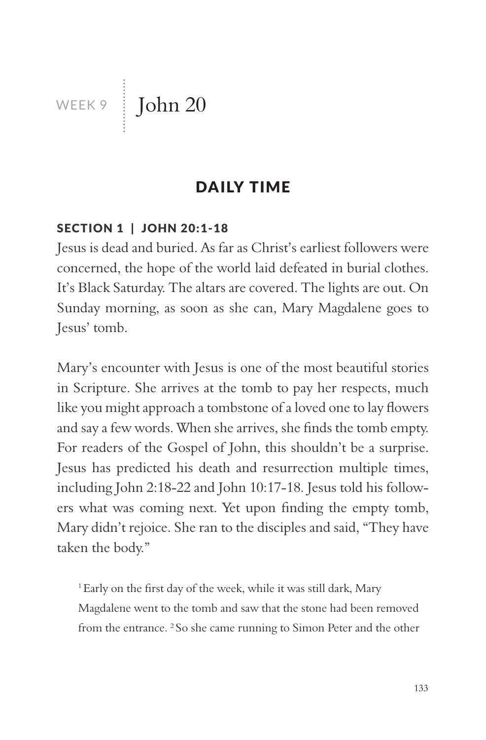WEEK 9 John 20

### DAILY TIME

#### SECTION 1 | JOHN 20:1-18

Jesus is dead and buried. As far as Christ's earliest followers were concerned, the hope of the world laid defeated in burial clothes. It's Black Saturday. The altars are covered. The lights are out. On Sunday morning, as soon as she can, Mary Magdalene goes to Jesus' tomb.

Mary's encounter with Jesus is one of the most beautiful stories in Scripture. She arrives at the tomb to pay her respects, much like you might approach a tombstone of a loved one to lay flowers and say a few words. When she arrives, she finds the tomb empty. For readers of the Gospel of John, this shouldn't be a surprise. Jesus has predicted his death and resurrection multiple times, including John 2:18-22 and John 10:17-18. Jesus told his followers what was coming next. Yet upon finding the empty tomb, Mary didn't rejoice. She ran to the disciples and said, "They have taken the body."

<sup>1</sup> Early on the first day of the week, while it was still dark, Mary Magdalene went to the tomb and saw that the stone had been removed from the entrance. 2 So she came running to Simon Peter and the other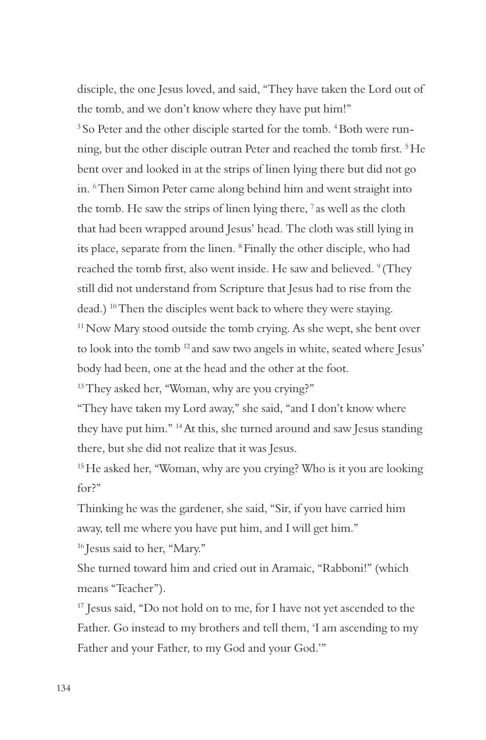disciple, the one Jesus loved, and said, "They have taken the Lord out of the tomb, and we don't know where they have put him!" <sup>3</sup> So Peter and the other disciple started for the tomb. <sup>4</sup> Both were running, but the other disciple outran Peter and reached the tomb first. 5 He bent over and looked in at the strips of linen lying there but did not go in. 6 Then Simon Peter came along behind him and went straight into the tomb. He saw the strips of linen lying there,  $\frac{7}{1}$  as well as the cloth that had been wrapped around Jesus' head. The cloth was still lying in its place, separate from the linen. 8 Finally the other disciple, who had reached the tomb first, also went inside. He saw and believed. <sup>9</sup> (They still did not understand from Scripture that Jesus had to rise from the dead.) 10 Then the disciples went back to where they were staying. <sup>11</sup> Now Mary stood outside the tomb crying. As she wept, she bent over to look into the tomb 12 and saw two angels in white, seated where Jesus' body had been, one at the head and the other at the foot. <sup>13</sup> They asked her, "Woman, why are you crying?"

"They have taken my Lord away," she said, "and I don't know where they have put him." 14 At this, she turned around and saw Jesus standing there, but she did not realize that it was Jesus.

<sup>15</sup> He asked her, "Woman, why are you crying? Who is it you are looking for?"

Thinking he was the gardener, she said, "Sir, if you have carried him away, tell me where you have put him, and I will get him."

16 Jesus said to her, "Mary."

She turned toward him and cried out in Aramaic, "Rabboni!" (which means "Teacher").

<sup>17</sup> Jesus said, "Do not hold on to me, for I have not yet ascended to the Father. Go instead to my brothers and tell them, 'I am ascending to my Father and your Father, to my God and your God.'"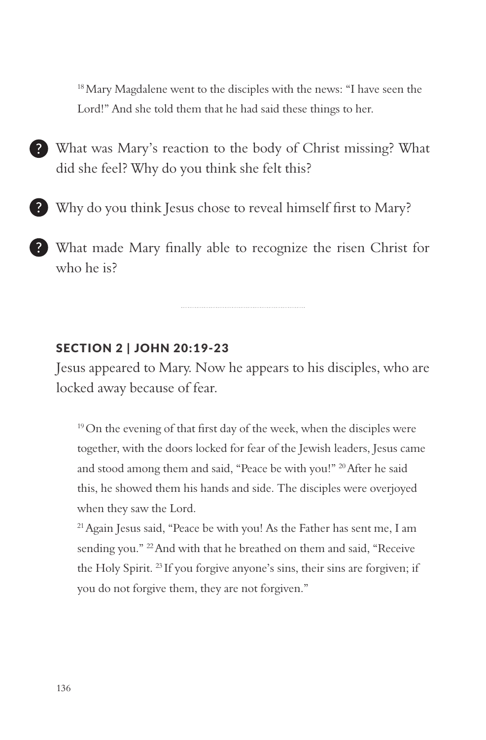<sup>18</sup> Mary Magdalene went to the disciples with the news: "I have seen the Lord!" And she told them that he had said these things to her.

- What was Mary's reaction to the body of Christ missing? What did she feel? Why do you think she felt this?
- Why do you think Jesus chose to reveal himself first to Mary?
- What made Mary finally able to recognize the risen Christ for who he is?

#### SECTION 2 | JOHN 20:19-23

Jesus appeared to Mary. Now he appears to his disciples, who are locked away because of fear.

<sup>19</sup> On the evening of that first day of the week, when the disciples were together, with the doors locked for fear of the Jewish leaders, Jesus came and stood among them and said, "Peace be with you!" 20 After he said this, he showed them his hands and side. The disciples were overjoyed when they saw the Lord.

21 Again Jesus said, "Peace be with you! As the Father has sent me, I am sending you." <sup>22</sup> And with that he breathed on them and said, "Receive the Holy Spirit. 23 If you forgive anyone's sins, their sins are forgiven; if you do not forgive them, they are not forgiven."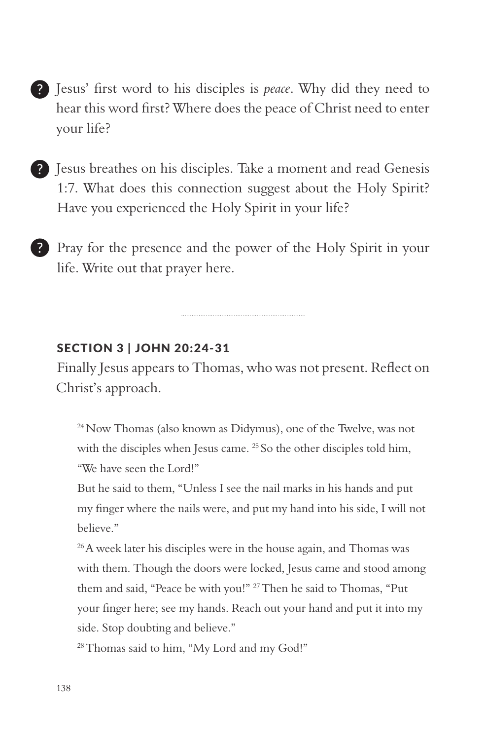- Jesus' first word to his disciples is *peace*. Why did they need to hear this word first? Where does the peace of Christ need to enter your life?
- Jesus breathes on his disciples. Take a moment and read Genesis 1:7. What does this connection suggest about the Holy Spirit? Have you experienced the Holy Spirit in your life?
- Pray for the presence and the power of the Holy Spirit in your life. Write out that prayer here.

#### SECTION 3 | JOHN 20:24-31

Finally Jesus appears to Thomas, who was not present. Reflect on Christ's approach.

24 Now Thomas (also known as Didymus), one of the Twelve, was not with the disciples when Jesus came. <sup>25</sup> So the other disciples told him, "We have seen the Lord!"

But he said to them, "Unless I see the nail marks in his hands and put my finger where the nails were, and put my hand into his side, I will not believe."

<sup>26</sup> A week later his disciples were in the house again, and Thomas was with them. Though the doors were locked, Jesus came and stood among them and said, "Peace be with you!" 27 Then he said to Thomas, "Put your finger here; see my hands. Reach out your hand and put it into my side. Stop doubting and believe."

<sup>28</sup> Thomas said to him, "My Lord and my God!"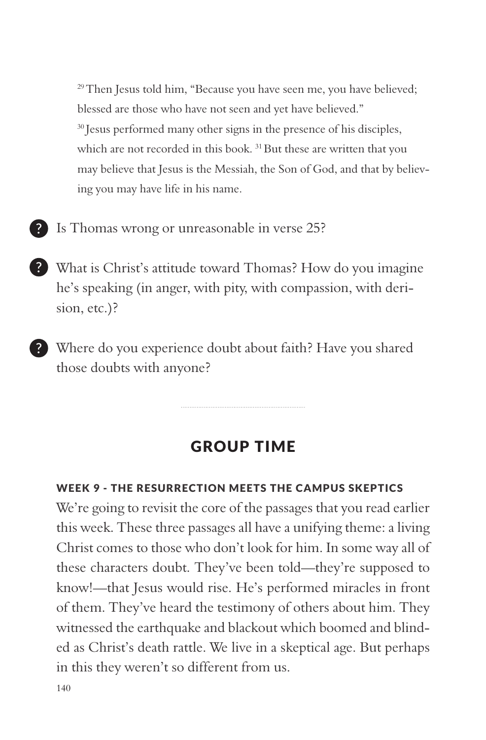<sup>29</sup> Then Jesus told him, "Because you have seen me, you have believed; blessed are those who have not seen and yet have believed." <sup>30</sup> Jesus performed many other signs in the presence of his disciples, which are not recorded in this book.<sup>31</sup> But these are written that you may believe that Jesus is the Messiah, the Son of God, and that by believing you may have life in his name.

- Is Thomas wrong or unreasonable in verse 25?
- What is Christ's attitude toward Thomas? How do you imagine he's speaking (in anger, with pity, with compassion, with derision, etc.)?
- Where do you experience doubt about faith? Have you shared those doubts with anyone?

# GROUP TIME

#### WEEK 9 - THE RESURRECTION MEETS THE CAMPUS SKEPTICS

We're going to revisit the core of the passages that you read earlier this week. These three passages all have a unifying theme: a living Christ comes to those who don't look for him. In some way all of these characters doubt. They've been told—they're supposed to know!—that Jesus would rise. He's performed miracles in front of them. They've heard the testimony of others about him. They witnessed the earthquake and blackout which boomed and blinded as Christ's death rattle. We live in a skeptical age. But perhaps in this they weren't so different from us.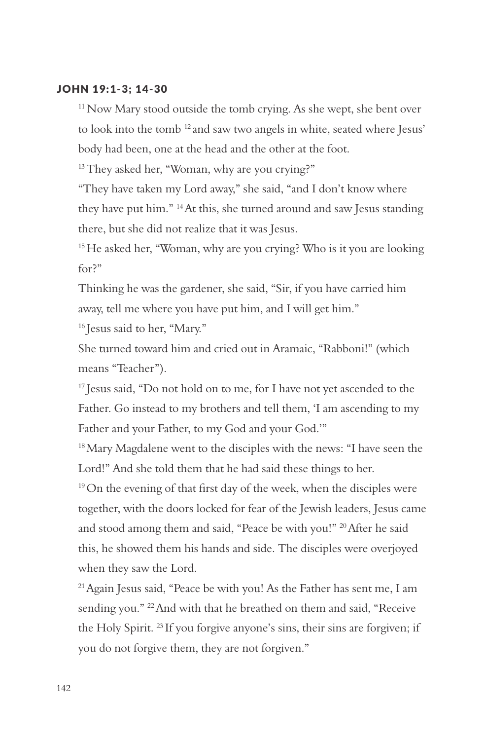#### JOHN 19:1-3; 14-30

<sup>11</sup> Now Mary stood outside the tomb crying. As she wept, she bent over to look into the tomb 12 and saw two angels in white, seated where Jesus' body had been, one at the head and the other at the foot.

<sup>13</sup> They asked her, "Woman, why are you crying?"

"They have taken my Lord away," she said, "and I don't know where they have put him." 14 At this, she turned around and saw Jesus standing there, but she did not realize that it was Jesus.

<sup>15</sup> He asked her, "Woman, why are you crying? Who is it you are looking for?"

Thinking he was the gardener, she said, "Sir, if you have carried him away, tell me where you have put him, and I will get him." <sup>16</sup> Jesus said to her, "Mary."

She turned toward him and cried out in Aramaic, "Rabboni!" (which means "Teacher").

<sup>17</sup> Jesus said, "Do not hold on to me, for I have not yet ascended to the Father. Go instead to my brothers and tell them, 'I am ascending to my Father and your Father, to my God and your God.'"

<sup>18</sup> Mary Magdalene went to the disciples with the news: "I have seen the Lord!" And she told them that he had said these things to her.

<sup>19</sup> On the evening of that first day of the week, when the disciples were together, with the doors locked for fear of the Jewish leaders, Jesus came and stood among them and said, "Peace be with you!" 20 After he said this, he showed them his hands and side. The disciples were overjoyed when they saw the Lord.

21 Again Jesus said, "Peace be with you! As the Father has sent me, I am sending you." <sup>22</sup> And with that he breathed on them and said, "Receive the Holy Spirit. 23 If you forgive anyone's sins, their sins are forgiven; if you do not forgive them, they are not forgiven."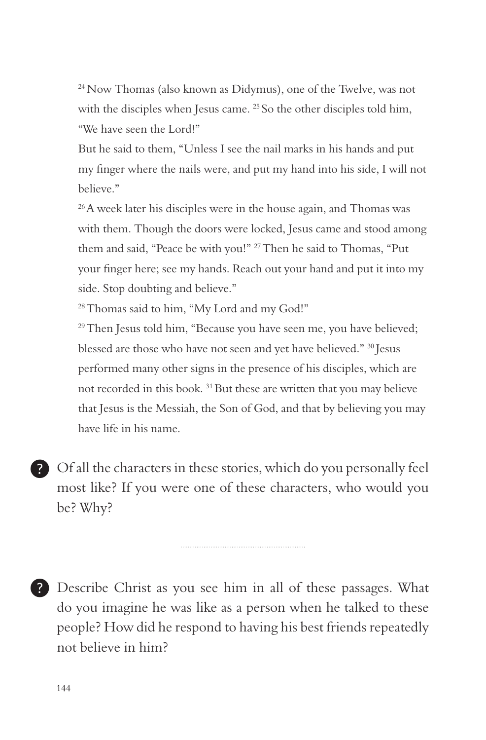24 Now Thomas (also known as Didymus), one of the Twelve, was not with the disciples when Jesus came. <sup>25</sup> So the other disciples told him, "We have seen the Lord!"

But he said to them, "Unless I see the nail marks in his hands and put my finger where the nails were, and put my hand into his side, I will not believe."

 $^{26}$ A week later his disciples were in the house again, and Thomas was with them. Though the doors were locked, Jesus came and stood among them and said, "Peace be with you!" 27 Then he said to Thomas, "Put your finger here; see my hands. Reach out your hand and put it into my side. Stop doubting and believe."

<sup>28</sup> Thomas said to him, "My Lord and my God!"

<sup>29</sup> Then Jesus told him, "Because you have seen me, you have believed; blessed are those who have not seen and yet have believed." 30 Jesus performed many other signs in the presence of his disciples, which are not recorded in this book. 31 But these are written that you may believe that Jesus is the Messiah, the Son of God, and that by believing you may have life in his name.

Of all the characters in these stories, which do you personally feel most like? If you were one of these characters, who would you be? Why?

Describe Christ as you see him in all of these passages. What do you imagine he was like as a person when he talked to these people? How did he respond to having his best friends repeatedly not believe in him?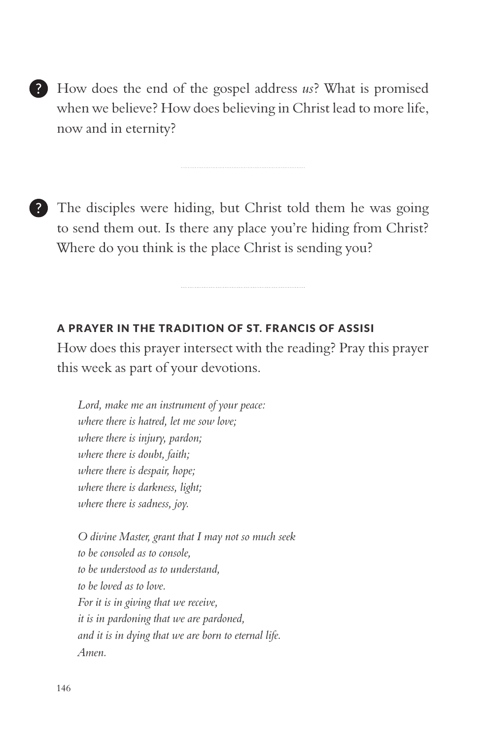How does the end of the gospel address *us*? What is promised when we believe? How does believing in Christ lead to more life, now and in eternity?

The disciples were hiding, but Christ told them he was going to send them out. Is there any place you're hiding from Christ? Where do you think is the place Christ is sending you?

#### A PRAYER IN THE TRADITION OF ST. FRANCIS OF ASSISI

How does this prayer intersect with the reading? Pray this prayer this week as part of your devotions.

*Lord, make me an instrument of your peace: where there is hatred, let me sow love; where there is injury, pardon; where there is doubt, faith; where there is despair, hope; where there is darkness, light; where there is sadness, joy.* 

*O divine Master, grant that I may not so much seek to be consoled as to console, to be understood as to understand, to be loved as to love. For it is in giving that we receive, it is in pardoning that we are pardoned, and it is in dying that we are born to eternal life. Amen.*